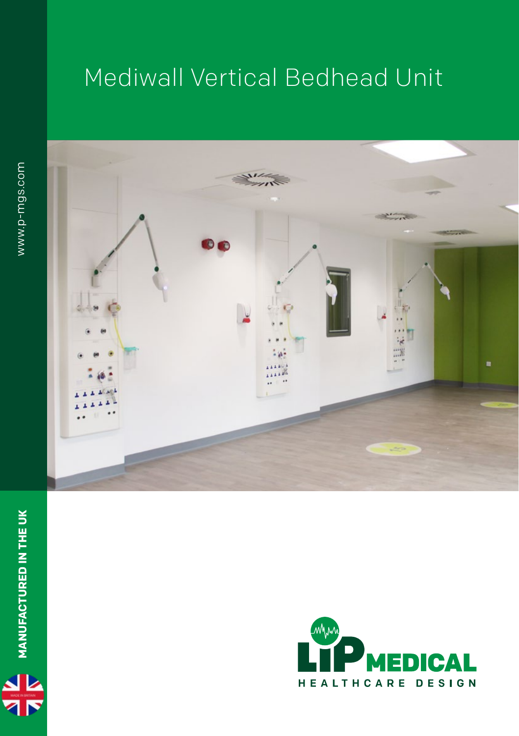## Mediwall Vertical Bedhead Unit





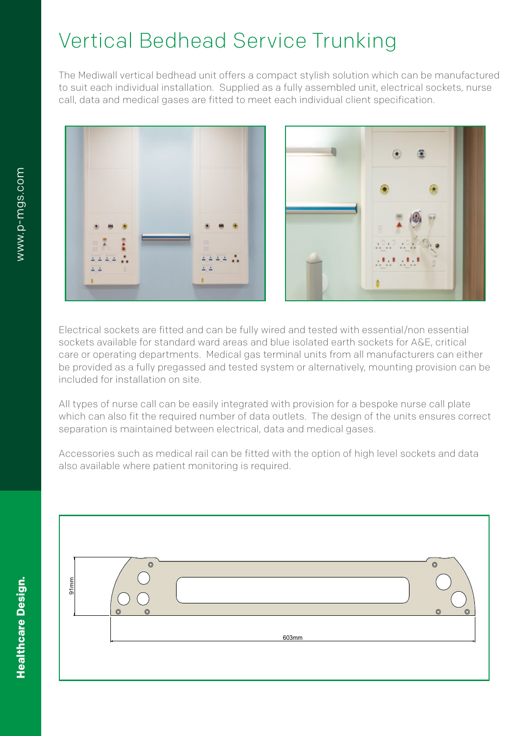## Vertical Bedhead Service Trunking

The Mediwall vertical bedhead unit offers a compact stylish solution which can be manufactured to suit each individual installation. Supplied as a fully assembled unit, electrical sockets, nurse call, data and medical gases are fitted to meet each individual client specification.



Electrical sockets are fitted and can be fully wired and tested with essential/non essential sockets available for standard ward areas and blue isolated earth sockets for A&E, critical care or operating departments. Medical gas terminal units from all manufacturers can either be provided as a fully pregassed and tested system or alternatively, mounting provision can be included for installation on site.

All types of nurse call can be easily integrated with provision for a bespoke nurse call plate which can also fit the required number of data outlets. The design of the units ensures correct separation is maintained between electrical, data and medical gases.

 $\blacksquare$  Accessories such as medical rail can be fitted with the option of high level sockets and data also available where patient monitoring is required.